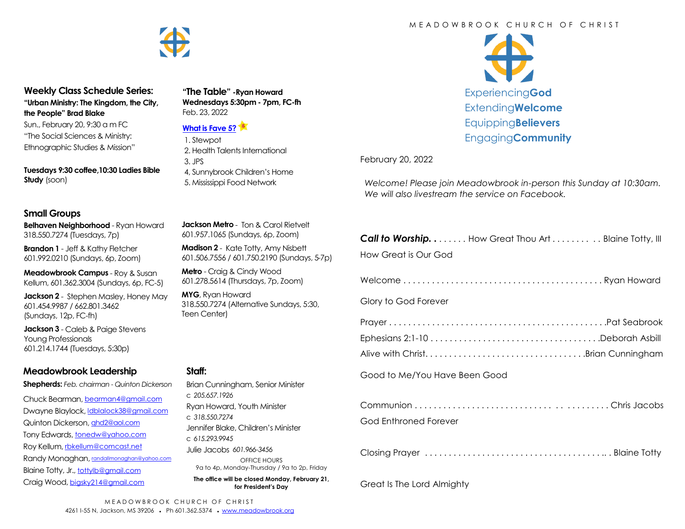

#### **Weekly Class Schedule Series: "Urban Ministry: The Kingdom, the City, the People" Brad Blake**

Sun., February 20, 9:30 a m FC "The Social Sciences & Ministry: Ethnographic Studies & Mission"

**Tuesdays 9:30 coffee,10:30 Ladies Bible Study** (soon)

#### **Small Groups**

**Belhaven Neighborhood** - Ryan Howard 318.550.7274 (Tuesdays, 7p)

**Brandon 1** - Jeff & Kathy Fletcher 601.992.0210 (Sundays, 6p, Zoom)

**Meadowbrook Campus** - Roy & Susan Kellum, 601.362.3004 (Sundays, 6p, FC-5)

**Jackson 2** - Stephen Masley, Honey May 601.454.9987 / 662.801.3462 (Sundays, 12p, FC-fh)

**Jackson 3** - Caleb & Paige Stevens Young Professionals 601.214.1744 (Tuesdays, 5:30p)

#### **Meadowbrook Leadership**

**Shepherds:** *Feb. chairman - Quinton Dickerson*

Chuck Bearman, [bearman4@gmail.com](mailto:bearman4@gmail.com) Dwayne Blaylock, [ldblalock38@gmail.com](mailto:ldblaylock38@gmail.com) Quinton Dickerson, [qhd2@aol.com](mailto:qhd2@aol.com) Tony Edwards, [tonedw@yahoo.com](mailto:tonedw@yahoo.com) Roy Kellum, [rbkellum@comcast.net](mailto:rbkellum@comcast.net) Randy Monaghan, [randallmonaghan@yahoo.com](mailto:randallmonaghan@yahoo.com) Blaine Totty, Jr., [tottylb@gmail.com](mailto:tottylb@gmail.com) Craig Wood, [bigsky214@gmail.com](mailto:bigsky214@gmail.com)

# **Staff:**

| Brian Cunningham, Senior Minister                                     |  |  |  |  |
|-----------------------------------------------------------------------|--|--|--|--|
| C.205657.1926                                                         |  |  |  |  |
| Ryan Howard, Youth Minister                                           |  |  |  |  |
| C.318.550.7274                                                        |  |  |  |  |
| Jennifer Blake, Children's Minister                                   |  |  |  |  |
| C.615.293.9945                                                        |  |  |  |  |
| Julie Jacobs 601.966-3456                                             |  |  |  |  |
| OFFICE HOURS                                                          |  |  |  |  |
| 9a to 4p, Monday-Thursday / 9a to 2p, Friday                          |  |  |  |  |
| The office will be closed Monday, February 21,<br>for President's Dav |  |  |  |  |

#### **Jackson Metro** - Ton & Carol Rietvelt 601.957.1065 (Sundays, 6p, Zoom)

**"The Table" -Ryan Howard Wednesdays 5:30pm - 7pm, FC-fh**

2. Health Talents International

4, Sunnybrook Children's Home 5. Mississippi Food Network

Feb. 23, 2022

3. JPS

**[What is Fave 5?](https://meadowbrook.ccbchurch.com/group_detail.php?group_id=131)** 1. Stewpot

**Madison 2** - Kate Totty, Amy Nisbett 601.506.7556 / 601.750.2190 (Sundays, 5-7p)

**Metro** - Craig & Cindy Wood 601.278.5614 (Thursdays, 7p, Zoom)

**MYG**, Ryan Howard 318.550.7274 (Alternative Sundays, 5:30, Teen Center)

# \$ Experiencing**God** Extending**Welcome** Equipping**Believers** Engaging**Community**

February 20, 2022

*Welcome! Please join Meadowbrook in-person this Sunday at 10:30am. We will also livestream the service on Facebook.*

| <b>Call to Worship</b> How Great Thou Art Blaine Totty, III |
|-------------------------------------------------------------|
| How Great is Our God                                        |
|                                                             |
| Glory to God Forever                                        |
|                                                             |
|                                                             |
| Alive with ChristBrian Cunningham                           |
| Good to Me/You Have Been Good                               |
|                                                             |
| God Enthroned Forever                                       |

|--|--|--|--|

Great Is The Lord Almighty

#### M F A D O W B R O O K C H U R C H O F C H R I S T